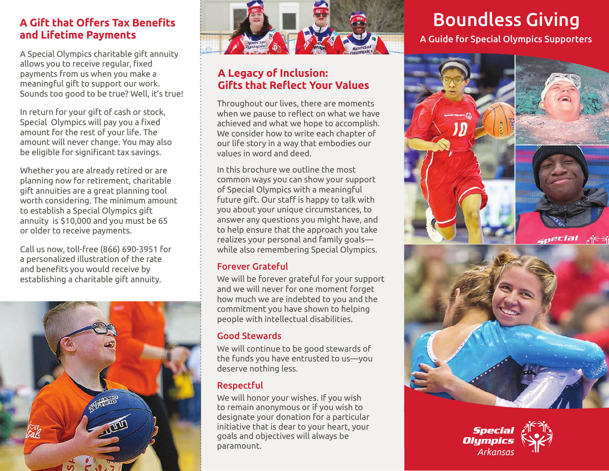# **A Gift that Offers Tax Benefits and Lifetime Payments**

A Special Olympics charitable gift annuity allows you to receive regular, fixed payments from us when you make a meaningful gift to support our work. Sounds too good to be true? Well, it's true!

In return for your gift of cash or stock, Special Olympics will pay you a fixed amount for the rest of your life. The amount will never change. You may also be eligible for significant tax savings.

Whether you are already retired or are planning now for retirement, charitable gift annuities are a great planning tool worth considering. The minimum amount to establish a Special Olympics gift annuity is \$10,000 and you must be 65 or older to receive payments.

Call us now, toll-free (866) 690-3951 for a personalized illustration of the rate and benefits you would receive by establishing a charitable gift annuity.





# **A Legacy of Inclusion: Gifts that Reflect Your Values**

Throughout our lives, there are moments when we pause to reflect on what we have achieved and what we hope to accomplish. We consider how to write each chapter of our life story in a way that embodies our values in word and deed.

In this brochure we outline the most common ways you can show your support of Special Olympics with a meaningful future gift. Our staff is happy to talk with you about your unique circumstances, to answer any questions you might have, and to help ensure that the approach you take realizes your personal and family goals while also remembering Special Olympics.

## Forever Grateful

We will be forever grateful for your support and we will never for one moment forget how much we are indebted to you and the commitment you have shown to helping people with intellectual disabilities.

### Good Stewards

We will continue to be good stewards of the funds you have entrusted to us—you deserve nothing less.

## Respectful

We will honor your wishes. If you wish to remain anonymous or if you wish to designate your donation for a particular initiative that is dear to your heart, your goals and objectives will always be paramount.

# Boundless Giving

A Guide for Special Olympics Supporters



**Special Olumpics** *Arkansas*